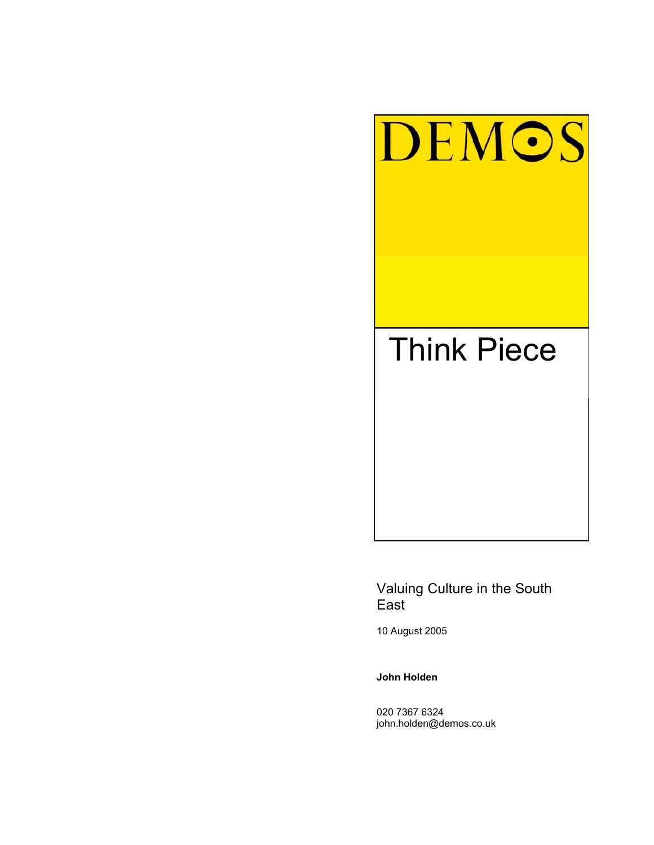

# Valuing Culture in the South East

10 August 2005

**John Holden** 

020 7367 6324 john.holden@demos.co.uk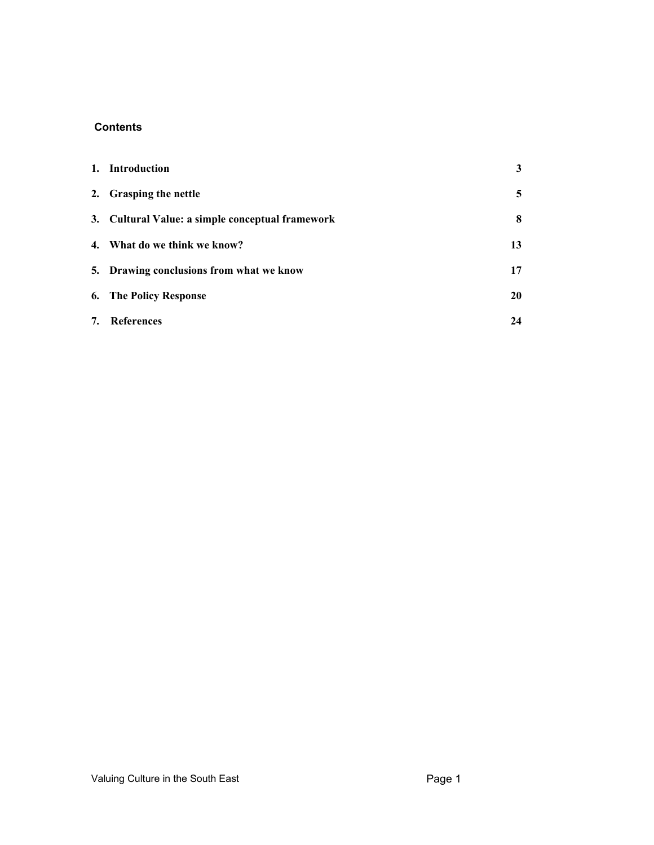## **Contents**

|    | 1. Introduction                                  | 3  |
|----|--------------------------------------------------|----|
|    | 2. Grasping the nettle                           | 5  |
|    | 3. Cultural Value: a simple conceptual framework | 8  |
|    | 4. What do we think we know?                     | 13 |
|    | 5. Drawing conclusions from what we know         | 17 |
|    | <b>6.</b> The Policy Response                    | 20 |
| 7. | References                                       | 24 |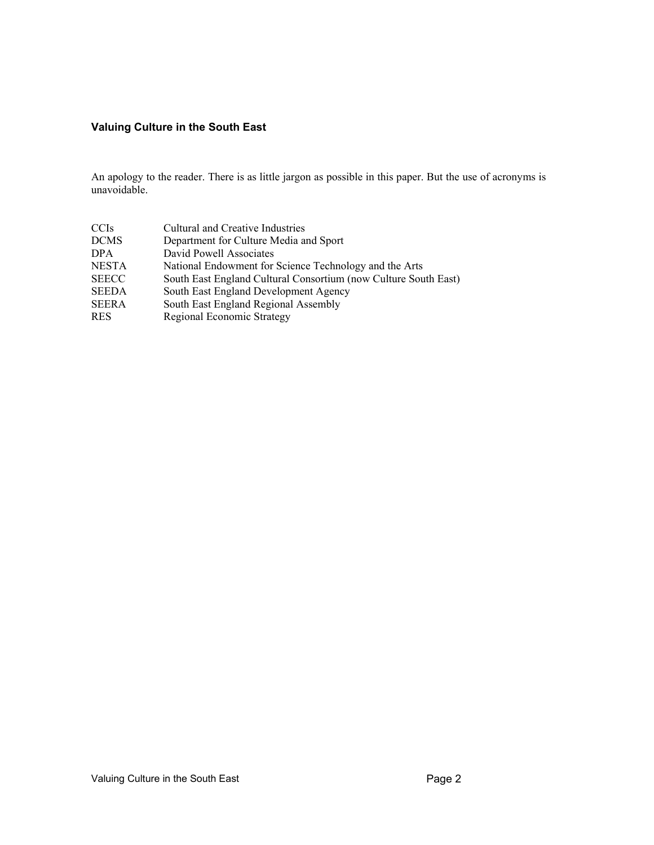## **Valuing Culture in the South East**

An apology to the reader. There is as little jargon as possible in this paper. But the use of acronyms is unavoidable.

| <b>CCIS</b>  | Cultural and Creative Industries                                |
|--------------|-----------------------------------------------------------------|
| <b>DCMS</b>  | Department for Culture Media and Sport                          |
| <b>DPA</b>   | David Powell Associates                                         |
| <b>NESTA</b> | National Endowment for Science Technology and the Arts          |
| <b>SEECC</b> | South East England Cultural Consortium (now Culture South East) |
| <b>SEEDA</b> | South East England Development Agency                           |
| <b>SEERA</b> | South East England Regional Assembly                            |
| <b>RES</b>   | Regional Economic Strategy                                      |
|              |                                                                 |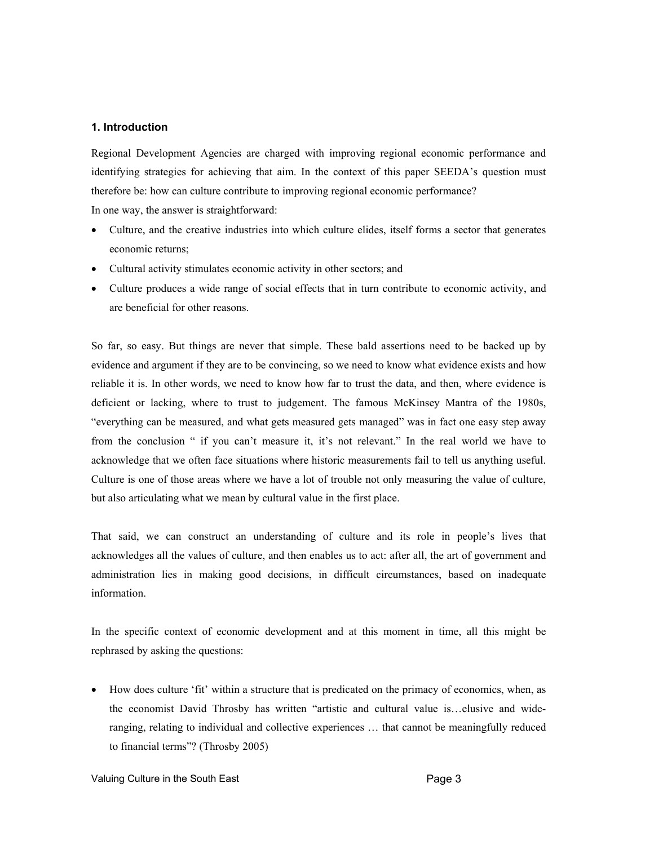#### **1. Introduction**

Regional Development Agencies are charged with improving regional economic performance and identifying strategies for achieving that aim. In the context of this paper SEEDA's question must therefore be: how can culture contribute to improving regional economic performance? In one way, the answer is straightforward:

- Culture, and the creative industries into which culture elides, itself forms a sector that generates economic returns;
- Cultural activity stimulates economic activity in other sectors; and
- Culture produces a wide range of social effects that in turn contribute to economic activity, and are beneficial for other reasons.

So far, so easy. But things are never that simple. These bald assertions need to be backed up by evidence and argument if they are to be convincing, so we need to know what evidence exists and how reliable it is. In other words, we need to know how far to trust the data, and then, where evidence is deficient or lacking, where to trust to judgement. The famous McKinsey Mantra of the 1980s, "everything can be measured, and what gets measured gets managed" was in fact one easy step away from the conclusion " if you can't measure it, it's not relevant." In the real world we have to acknowledge that we often face situations where historic measurements fail to tell us anything useful. Culture is one of those areas where we have a lot of trouble not only measuring the value of culture, but also articulating what we mean by cultural value in the first place.

That said, we can construct an understanding of culture and its role in people's lives that acknowledges all the values of culture, and then enables us to act: after all, the art of government and administration lies in making good decisions, in difficult circumstances, based on inadequate information.

In the specific context of economic development and at this moment in time, all this might be rephrased by asking the questions:

• How does culture 'fit' within a structure that is predicated on the primacy of economics, when, as the economist David Throsby has written "artistic and cultural value is…elusive and wideranging, relating to individual and collective experiences … that cannot be meaningfully reduced to financial terms"? (Throsby 2005)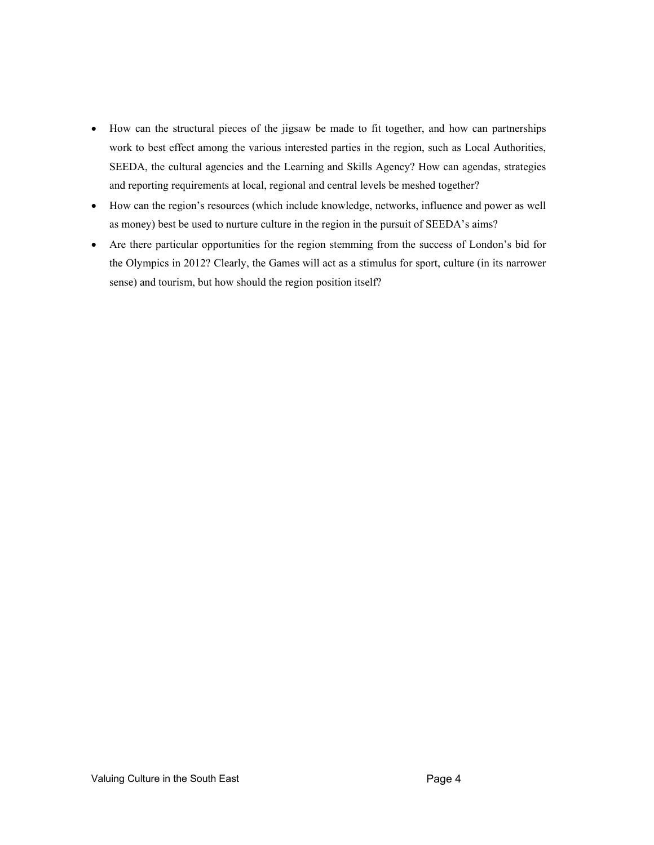- How can the structural pieces of the jigsaw be made to fit together, and how can partnerships work to best effect among the various interested parties in the region, such as Local Authorities, SEEDA, the cultural agencies and the Learning and Skills Agency? How can agendas, strategies and reporting requirements at local, regional and central levels be meshed together?
- How can the region's resources (which include knowledge, networks, influence and power as well as money) best be used to nurture culture in the region in the pursuit of SEEDA's aims?
- Are there particular opportunities for the region stemming from the success of London's bid for the Olympics in 2012? Clearly, the Games will act as a stimulus for sport, culture (in its narrower sense) and tourism, but how should the region position itself?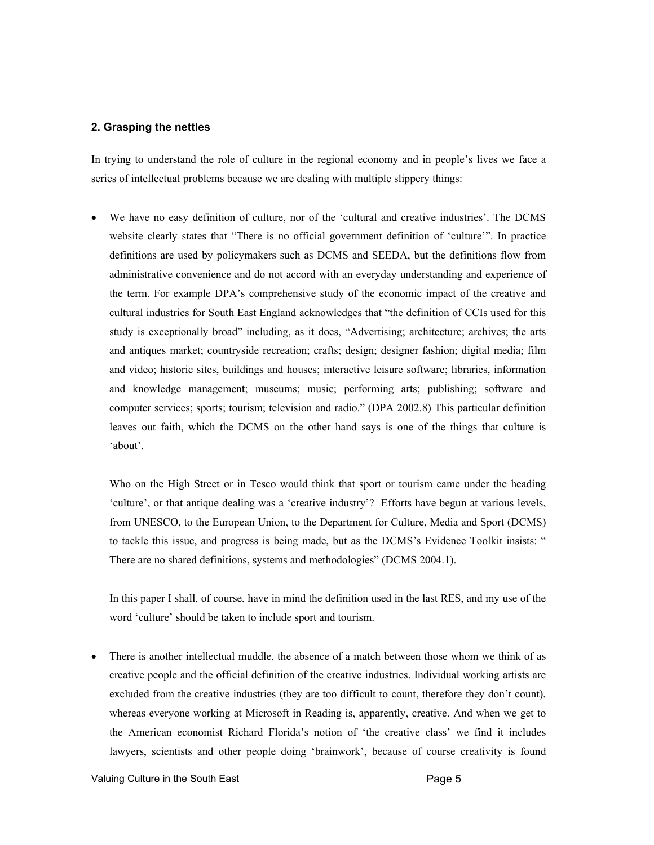#### **2. Grasping the nettles**

In trying to understand the role of culture in the regional economy and in people's lives we face a series of intellectual problems because we are dealing with multiple slippery things:

• We have no easy definition of culture, nor of the 'cultural and creative industries'. The DCMS website clearly states that "There is no official government definition of 'culture'". In practice definitions are used by policymakers such as DCMS and SEEDA, but the definitions flow from administrative convenience and do not accord with an everyday understanding and experience of the term. For example DPA's comprehensive study of the economic impact of the creative and cultural industries for South East England acknowledges that "the definition of CCIs used for this study is exceptionally broad" including, as it does, "Advertising; architecture; archives; the arts and antiques market; countryside recreation; crafts; design; designer fashion; digital media; film and video; historic sites, buildings and houses; interactive leisure software; libraries, information and knowledge management; museums; music; performing arts; publishing; software and computer services; sports; tourism; television and radio." (DPA 2002.8) This particular definition leaves out faith, which the DCMS on the other hand says is one of the things that culture is 'about'.

Who on the High Street or in Tesco would think that sport or tourism came under the heading 'culture', or that antique dealing was a 'creative industry'? Efforts have begun at various levels, from UNESCO, to the European Union, to the Department for Culture, Media and Sport (DCMS) to tackle this issue, and progress is being made, but as the DCMS's Evidence Toolkit insists: " There are no shared definitions, systems and methodologies" (DCMS 2004.1).

In this paper I shall, of course, have in mind the definition used in the last RES, and my use of the word 'culture' should be taken to include sport and tourism.

There is another intellectual muddle, the absence of a match between those whom we think of as creative people and the official definition of the creative industries. Individual working artists are excluded from the creative industries (they are too difficult to count, therefore they don't count), whereas everyone working at Microsoft in Reading is, apparently, creative. And when we get to the American economist Richard Florida's notion of 'the creative class' we find it includes lawyers, scientists and other people doing 'brainwork', because of course creativity is found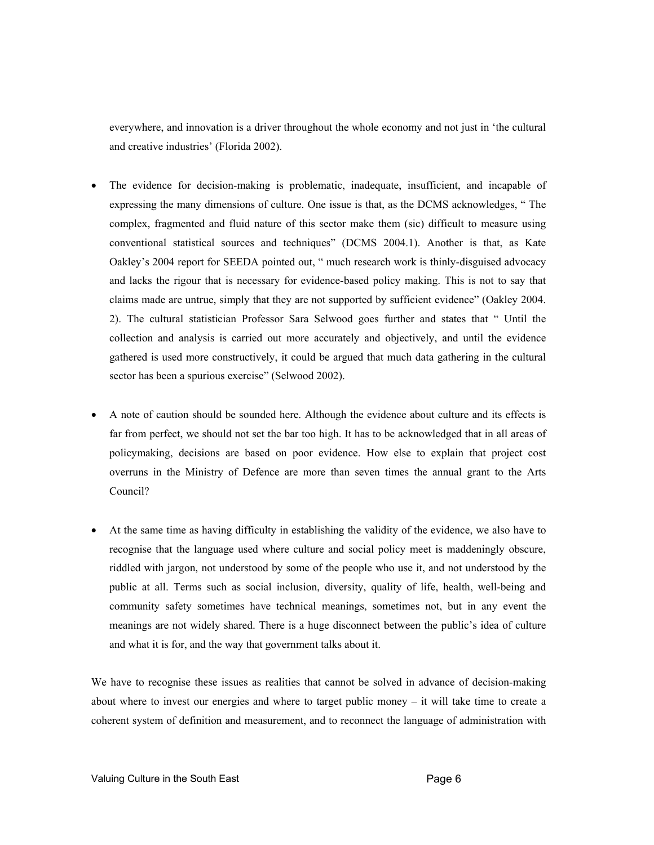everywhere, and innovation is a driver throughout the whole economy and not just in 'the cultural and creative industries' (Florida 2002).

- The evidence for decision-making is problematic, inadequate, insufficient, and incapable of expressing the many dimensions of culture. One issue is that, as the DCMS acknowledges, " The complex, fragmented and fluid nature of this sector make them (sic) difficult to measure using conventional statistical sources and techniques" (DCMS 2004.1). Another is that, as Kate Oakley's 2004 report for SEEDA pointed out, " much research work is thinly-disguised advocacy and lacks the rigour that is necessary for evidence-based policy making. This is not to say that claims made are untrue, simply that they are not supported by sufficient evidence" (Oakley 2004. 2). The cultural statistician Professor Sara Selwood goes further and states that " Until the collection and analysis is carried out more accurately and objectively, and until the evidence gathered is used more constructively, it could be argued that much data gathering in the cultural sector has been a spurious exercise" (Selwood 2002).
- A note of caution should be sounded here. Although the evidence about culture and its effects is far from perfect, we should not set the bar too high. It has to be acknowledged that in all areas of policymaking, decisions are based on poor evidence. How else to explain that project cost overruns in the Ministry of Defence are more than seven times the annual grant to the Arts Council?
- At the same time as having difficulty in establishing the validity of the evidence, we also have to recognise that the language used where culture and social policy meet is maddeningly obscure, riddled with jargon, not understood by some of the people who use it, and not understood by the public at all. Terms such as social inclusion, diversity, quality of life, health, well-being and community safety sometimes have technical meanings, sometimes not, but in any event the meanings are not widely shared. There is a huge disconnect between the public's idea of culture and what it is for, and the way that government talks about it.

We have to recognise these issues as realities that cannot be solved in advance of decision-making about where to invest our energies and where to target public money – it will take time to create a coherent system of definition and measurement, and to reconnect the language of administration with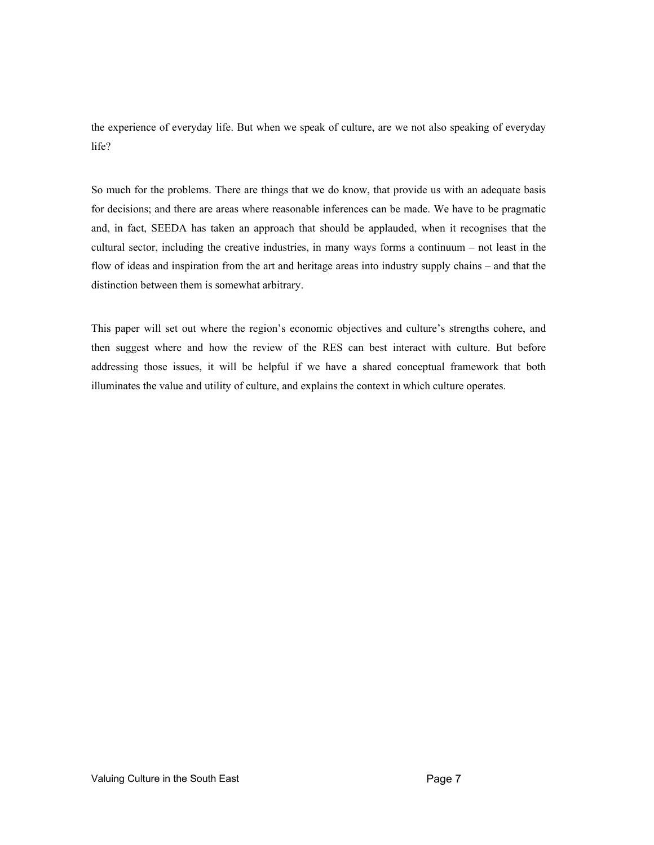the experience of everyday life. But when we speak of culture, are we not also speaking of everyday life?

So much for the problems. There are things that we do know, that provide us with an adequate basis for decisions; and there are areas where reasonable inferences can be made. We have to be pragmatic and, in fact, SEEDA has taken an approach that should be applauded, when it recognises that the cultural sector, including the creative industries, in many ways forms a continuum – not least in the flow of ideas and inspiration from the art and heritage areas into industry supply chains – and that the distinction between them is somewhat arbitrary.

This paper will set out where the region's economic objectives and culture's strengths cohere, and then suggest where and how the review of the RES can best interact with culture. But before addressing those issues, it will be helpful if we have a shared conceptual framework that both illuminates the value and utility of culture, and explains the context in which culture operates.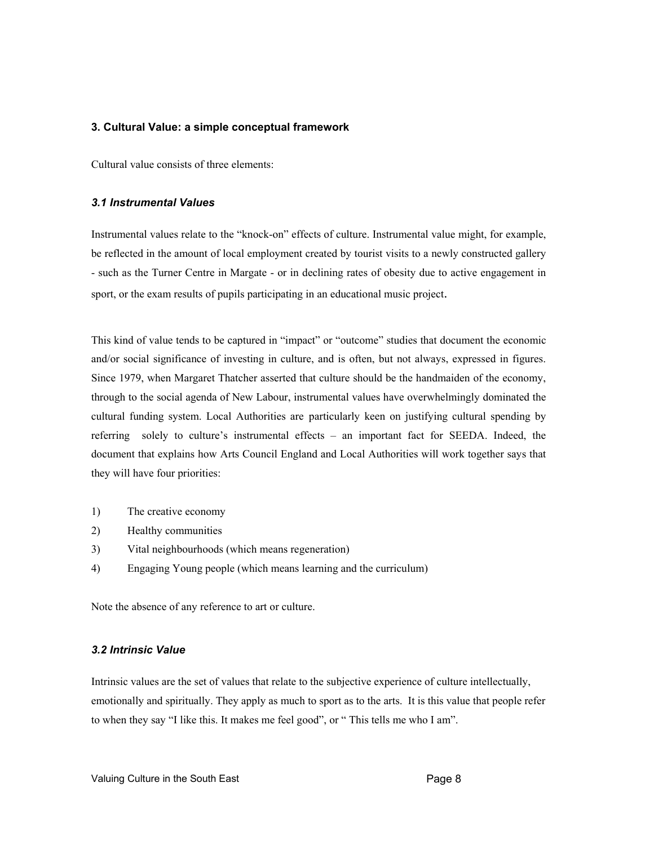## **3. Cultural Value: a simple conceptual framework**

Cultural value consists of three elements:

## *3.1 Instrumental Values*

Instrumental values relate to the "knock-on" effects of culture. Instrumental value might, for example, be reflected in the amount of local employment created by tourist visits to a newly constructed gallery - such as the Turner Centre in Margate - or in declining rates of obesity due to active engagement in sport, or the exam results of pupils participating in an educational music project.

This kind of value tends to be captured in "impact" or "outcome" studies that document the economic and/or social significance of investing in culture, and is often, but not always, expressed in figures. Since 1979, when Margaret Thatcher asserted that culture should be the handmaiden of the economy, through to the social agenda of New Labour, instrumental values have overwhelmingly dominated the cultural funding system. Local Authorities are particularly keen on justifying cultural spending by referring solely to culture's instrumental effects – an important fact for SEEDA. Indeed, the document that explains how Arts Council England and Local Authorities will work together says that they will have four priorities:

- 1) The creative economy
- 2) Healthy communities
- 3) Vital neighbourhoods (which means regeneration)
- 4) Engaging Young people (which means learning and the curriculum)

Note the absence of any reference to art or culture.

## *3.2 Intrinsic Value*

Intrinsic values are the set of values that relate to the subjective experience of culture intellectually, emotionally and spiritually. They apply as much to sport as to the arts. It is this value that people refer to when they say "I like this. It makes me feel good", or " This tells me who I am".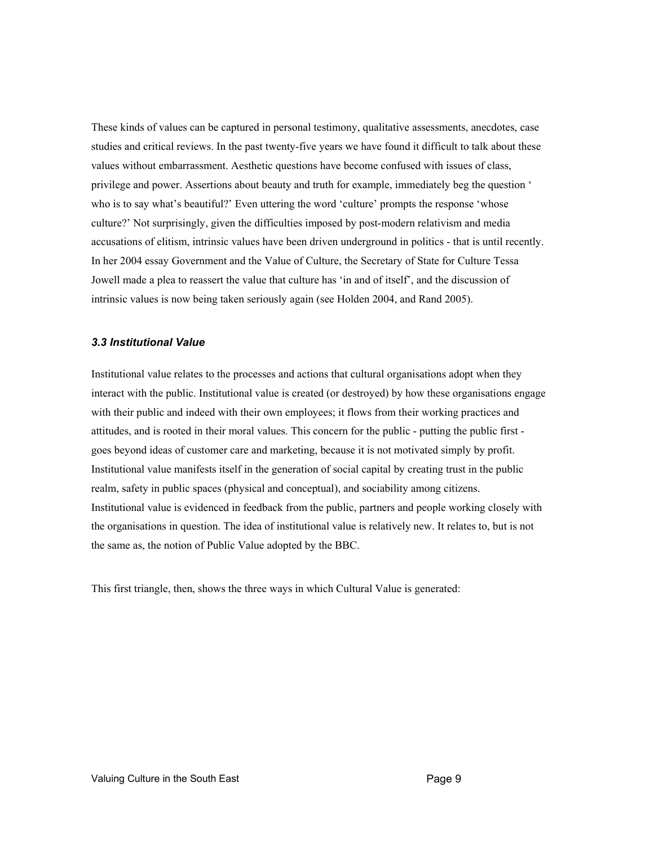These kinds of values can be captured in personal testimony, qualitative assessments, anecdotes, case studies and critical reviews. In the past twenty-five years we have found it difficult to talk about these values without embarrassment. Aesthetic questions have become confused with issues of class, privilege and power. Assertions about beauty and truth for example, immediately beg the question ' who is to say what's beautiful?' Even uttering the word 'culture' prompts the response 'whose culture?' Not surprisingly, given the difficulties imposed by post-modern relativism and media accusations of elitism, intrinsic values have been driven underground in politics - that is until recently. In her 2004 essay Government and the Value of Culture, the Secretary of State for Culture Tessa Jowell made a plea to reassert the value that culture has 'in and of itself', and the discussion of intrinsic values is now being taken seriously again (see Holden 2004, and Rand 2005).

## *3.3 Institutional Value*

Institutional value relates to the processes and actions that cultural organisations adopt when they interact with the public. Institutional value is created (or destroyed) by how these organisations engage with their public and indeed with their own employees; it flows from their working practices and attitudes, and is rooted in their moral values. This concern for the public - putting the public first goes beyond ideas of customer care and marketing, because it is not motivated simply by profit. Institutional value manifests itself in the generation of social capital by creating trust in the public realm, safety in public spaces (physical and conceptual), and sociability among citizens. Institutional value is evidenced in feedback from the public, partners and people working closely with the organisations in question. The idea of institutional value is relatively new. It relates to, but is not the same as, the notion of Public Value adopted by the BBC.

This first triangle, then, shows the three ways in which Cultural Value is generated: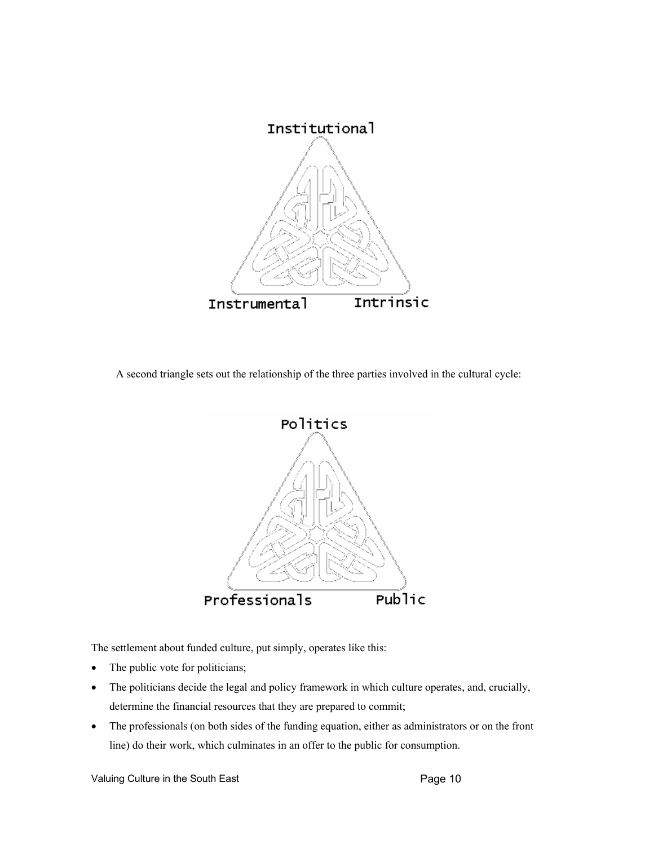

A second triangle sets out the relationship of the three parties involved in the cultural cycle:



The settlement about funded culture, put simply, operates like this:

- The public vote for politicians;
- The politicians decide the legal and policy framework in which culture operates, and, crucially, determine the financial resources that they are prepared to commit;
- The professionals (on both sides of the funding equation, either as administrators or on the front line) do their work, which culminates in an offer to the public for consumption.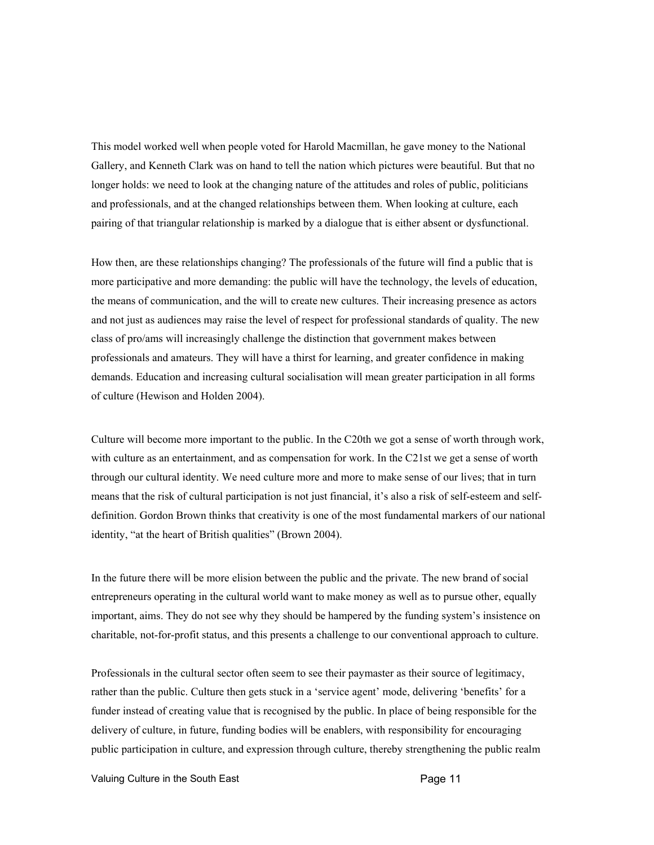This model worked well when people voted for Harold Macmillan, he gave money to the National Gallery, and Kenneth Clark was on hand to tell the nation which pictures were beautiful. But that no longer holds: we need to look at the changing nature of the attitudes and roles of public, politicians and professionals, and at the changed relationships between them. When looking at culture, each pairing of that triangular relationship is marked by a dialogue that is either absent or dysfunctional.

How then, are these relationships changing? The professionals of the future will find a public that is more participative and more demanding: the public will have the technology, the levels of education, the means of communication, and the will to create new cultures. Their increasing presence as actors and not just as audiences may raise the level of respect for professional standards of quality. The new class of pro/ams will increasingly challenge the distinction that government makes between professionals and amateurs. They will have a thirst for learning, and greater confidence in making demands. Education and increasing cultural socialisation will mean greater participation in all forms of culture (Hewison and Holden 2004).

Culture will become more important to the public. In the C20th we got a sense of worth through work, with culture as an entertainment, and as compensation for work. In the C21st we get a sense of worth through our cultural identity. We need culture more and more to make sense of our lives; that in turn means that the risk of cultural participation is not just financial, it's also a risk of self-esteem and selfdefinition. Gordon Brown thinks that creativity is one of the most fundamental markers of our national identity, "at the heart of British qualities" (Brown 2004).

In the future there will be more elision between the public and the private. The new brand of social entrepreneurs operating in the cultural world want to make money as well as to pursue other, equally important, aims. They do not see why they should be hampered by the funding system's insistence on charitable, not-for-profit status, and this presents a challenge to our conventional approach to culture.

Professionals in the cultural sector often seem to see their paymaster as their source of legitimacy, rather than the public. Culture then gets stuck in a 'service agent' mode, delivering 'benefits' for a funder instead of creating value that is recognised by the public. In place of being responsible for the delivery of culture, in future, funding bodies will be enablers, with responsibility for encouraging public participation in culture, and expression through culture, thereby strengthening the public realm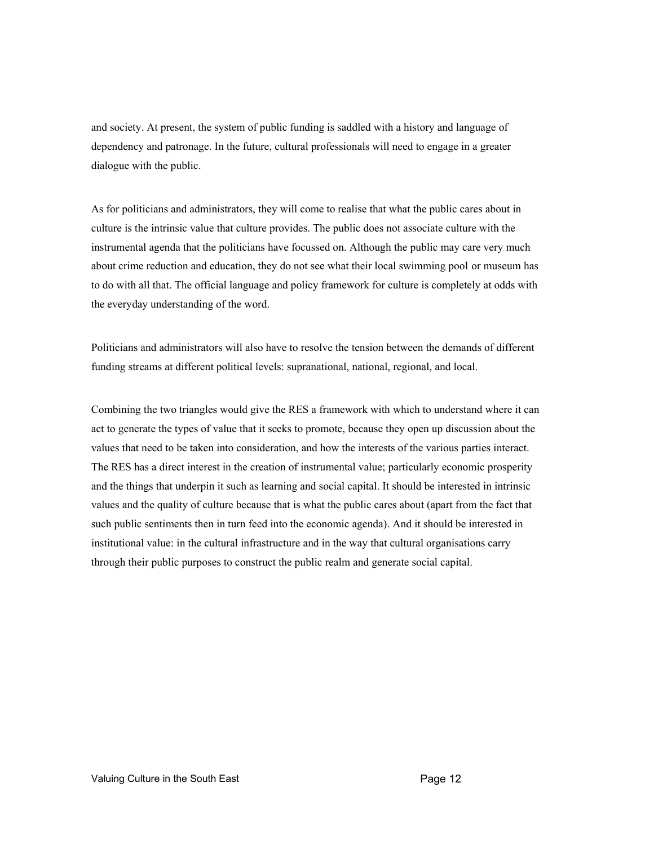and society. At present, the system of public funding is saddled with a history and language of dependency and patronage. In the future, cultural professionals will need to engage in a greater dialogue with the public.

As for politicians and administrators, they will come to realise that what the public cares about in culture is the intrinsic value that culture provides. The public does not associate culture with the instrumental agenda that the politicians have focussed on. Although the public may care very much about crime reduction and education, they do not see what their local swimming pool or museum has to do with all that. The official language and policy framework for culture is completely at odds with the everyday understanding of the word.

Politicians and administrators will also have to resolve the tension between the demands of different funding streams at different political levels: supranational, national, regional, and local.

Combining the two triangles would give the RES a framework with which to understand where it can act to generate the types of value that it seeks to promote, because they open up discussion about the values that need to be taken into consideration, and how the interests of the various parties interact. The RES has a direct interest in the creation of instrumental value; particularly economic prosperity and the things that underpin it such as learning and social capital. It should be interested in intrinsic values and the quality of culture because that is what the public cares about (apart from the fact that such public sentiments then in turn feed into the economic agenda). And it should be interested in institutional value: in the cultural infrastructure and in the way that cultural organisations carry through their public purposes to construct the public realm and generate social capital.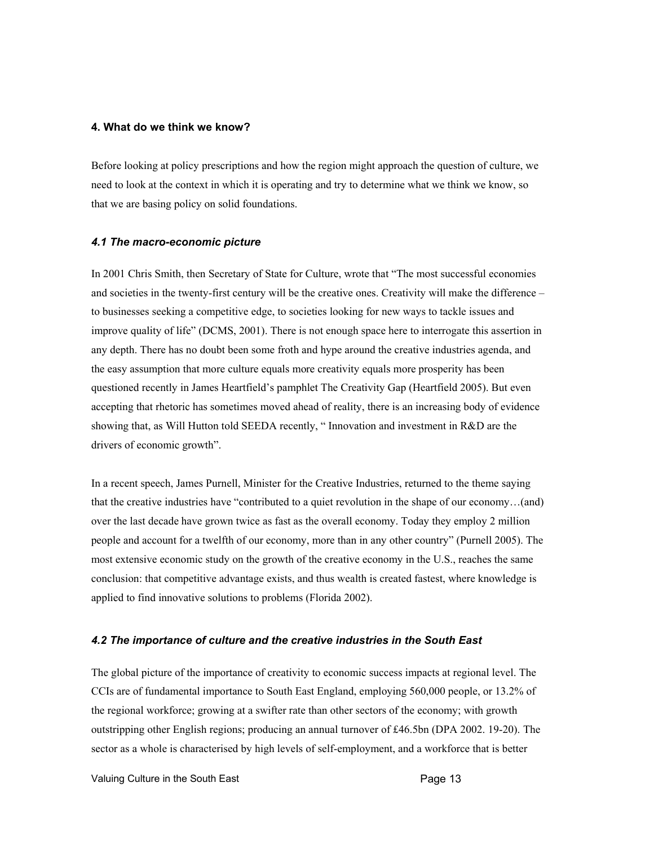#### **4. What do we think we know?**

Before looking at policy prescriptions and how the region might approach the question of culture, we need to look at the context in which it is operating and try to determine what we think we know, so that we are basing policy on solid foundations.

#### *4.1 The macro-economic picture*

In 2001 Chris Smith, then Secretary of State for Culture, wrote that "The most successful economies and societies in the twenty-first century will be the creative ones. Creativity will make the difference – to businesses seeking a competitive edge, to societies looking for new ways to tackle issues and improve quality of life" (DCMS, 2001). There is not enough space here to interrogate this assertion in any depth. There has no doubt been some froth and hype around the creative industries agenda, and the easy assumption that more culture equals more creativity equals more prosperity has been questioned recently in James Heartfield's pamphlet The Creativity Gap (Heartfield 2005). But even accepting that rhetoric has sometimes moved ahead of reality, there is an increasing body of evidence showing that, as Will Hutton told SEEDA recently, " Innovation and investment in R&D are the drivers of economic growth".

In a recent speech, James Purnell, Minister for the Creative Industries, returned to the theme saying that the creative industries have "contributed to a quiet revolution in the shape of our economy…(and) over the last decade have grown twice as fast as the overall economy. Today they employ 2 million people and account for a twelfth of our economy, more than in any other country" (Purnell 2005). The most extensive economic study on the growth of the creative economy in the U.S., reaches the same conclusion: that competitive advantage exists, and thus wealth is created fastest, where knowledge is applied to find innovative solutions to problems (Florida 2002).

#### *4.2 The importance of culture and the creative industries in the South East*

The global picture of the importance of creativity to economic success impacts at regional level. The CCIs are of fundamental importance to South East England, employing 560,000 people, or 13.2% of the regional workforce; growing at a swifter rate than other sectors of the economy; with growth outstripping other English regions; producing an annual turnover of £46.5bn (DPA 2002. 19-20). The sector as a whole is characterised by high levels of self-employment, and a workforce that is better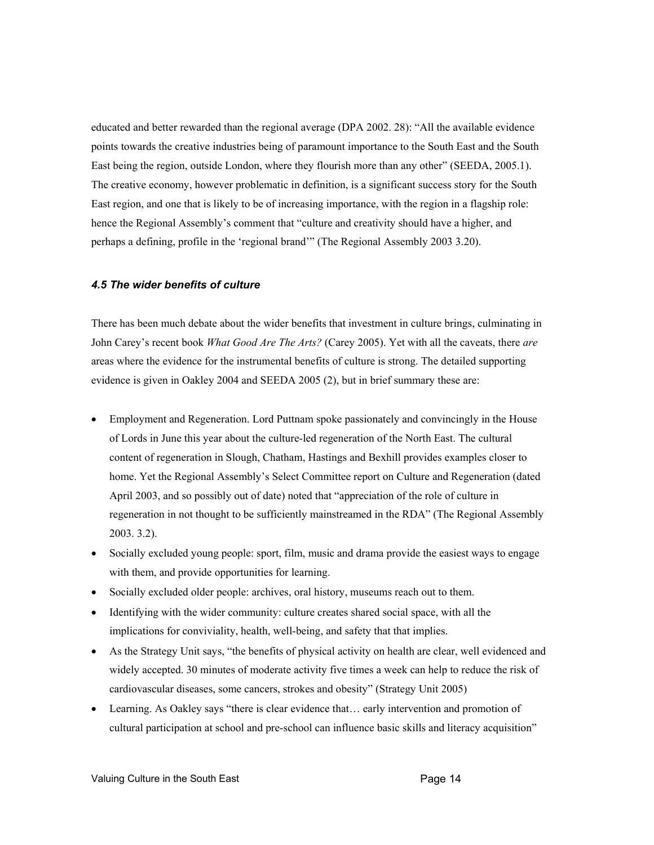educated and better rewarded than the regional average (DPA 2002. 28): "All the available evidence points towards the creative industries being of paramount importance to the South East and the South East being the region, outside London, where they flourish more than any other" (SEEDA, 2005.1). The creative economy, however problematic in definition, is a significant success story for the South East region, and one that is likely to be of increasing importance, with the region in a flagship role: hence the Regional Assembly's comment that "culture and creativity should have a higher, and perhaps a defining, profile in the 'regional brand'" (The Regional Assembly 2003 3.20).

## *4.5 The wider benefits of culture*

There has been much debate about the wider benefits that investment in culture brings, culminating in John Carey's recent book *What Good Are The Arts?* (Carey 2005). Yet with all the caveats, there *are* areas where the evidence for the instrumental benefits of culture is strong. The detailed supporting evidence is given in Oakley 2004 and SEEDA 2005 (2), but in brief summary these are:

- Employment and Regeneration. Lord Puttnam spoke passionately and convincingly in the House of Lords in June this year about the culture-led regeneration of the North East. The cultural content of regeneration in Slough, Chatham, Hastings and Bexhill provides examples closer to home. Yet the Regional Assembly's Select Committee report on Culture and Regeneration (dated April 2003, and so possibly out of date) noted that "appreciation of the role of culture in regeneration in not thought to be sufficiently mainstreamed in the RDA" (The Regional Assembly 2003. 3.2).
- Socially excluded young people: sport, film, music and drama provide the easiest ways to engage with them, and provide opportunities for learning.
- Socially excluded older people: archives, oral history, museums reach out to them.
- Identifying with the wider community: culture creates shared social space, with all the implications for conviviality, health, well-being, and safety that that implies.
- As the Strategy Unit says, "the benefits of physical activity on health are clear, well evidenced and widely accepted. 30 minutes of moderate activity five times a week can help to reduce the risk of cardiovascular diseases, some cancers, strokes and obesity" (Strategy Unit 2005)
- Learning. As Oakley says "there is clear evidence that… early intervention and promotion of cultural participation at school and pre-school can influence basic skills and literacy acquisition"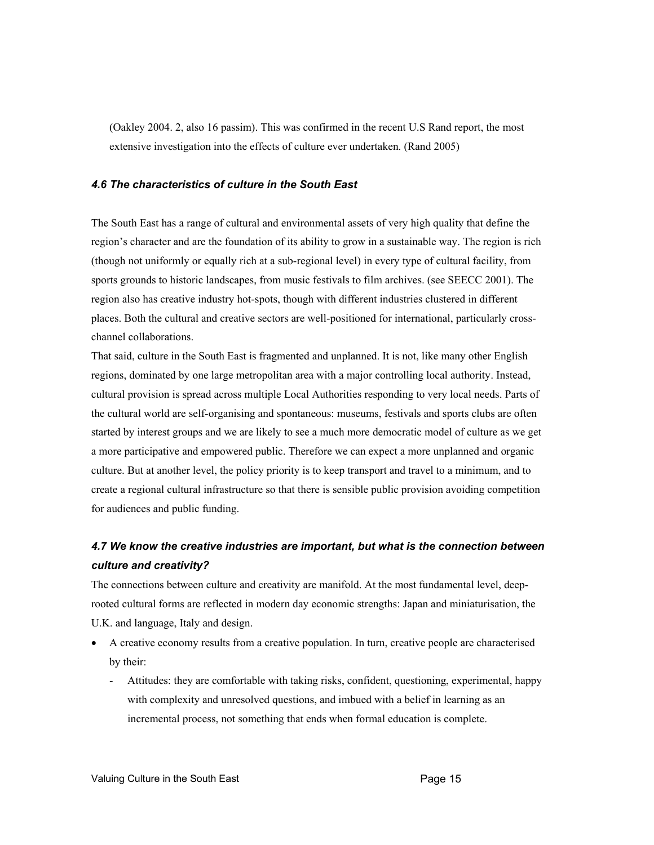(Oakley 2004. 2, also 16 passim). This was confirmed in the recent U.S Rand report, the most extensive investigation into the effects of culture ever undertaken. (Rand 2005)

#### *4.6 The characteristics of culture in the South East*

The South East has a range of cultural and environmental assets of very high quality that define the region's character and are the foundation of its ability to grow in a sustainable way. The region is rich (though not uniformly or equally rich at a sub-regional level) in every type of cultural facility, from sports grounds to historic landscapes, from music festivals to film archives. (see SEECC 2001). The region also has creative industry hot-spots, though with different industries clustered in different places. Both the cultural and creative sectors are well-positioned for international, particularly crosschannel collaborations.

That said, culture in the South East is fragmented and unplanned. It is not, like many other English regions, dominated by one large metropolitan area with a major controlling local authority. Instead, cultural provision is spread across multiple Local Authorities responding to very local needs. Parts of the cultural world are self-organising and spontaneous: museums, festivals and sports clubs are often started by interest groups and we are likely to see a much more democratic model of culture as we get a more participative and empowered public. Therefore we can expect a more unplanned and organic culture. But at another level, the policy priority is to keep transport and travel to a minimum, and to create a regional cultural infrastructure so that there is sensible public provision avoiding competition for audiences and public funding.

## *4.7 We know the creative industries are important, but what is the connection between culture and creativity?*

The connections between culture and creativity are manifold. At the most fundamental level, deeprooted cultural forms are reflected in modern day economic strengths: Japan and miniaturisation, the U.K. and language, Italy and design.

- A creative economy results from a creative population. In turn, creative people are characterised by their:
	- Attitudes: they are comfortable with taking risks, confident, questioning, experimental, happy with complexity and unresolved questions, and imbued with a belief in learning as an incremental process, not something that ends when formal education is complete.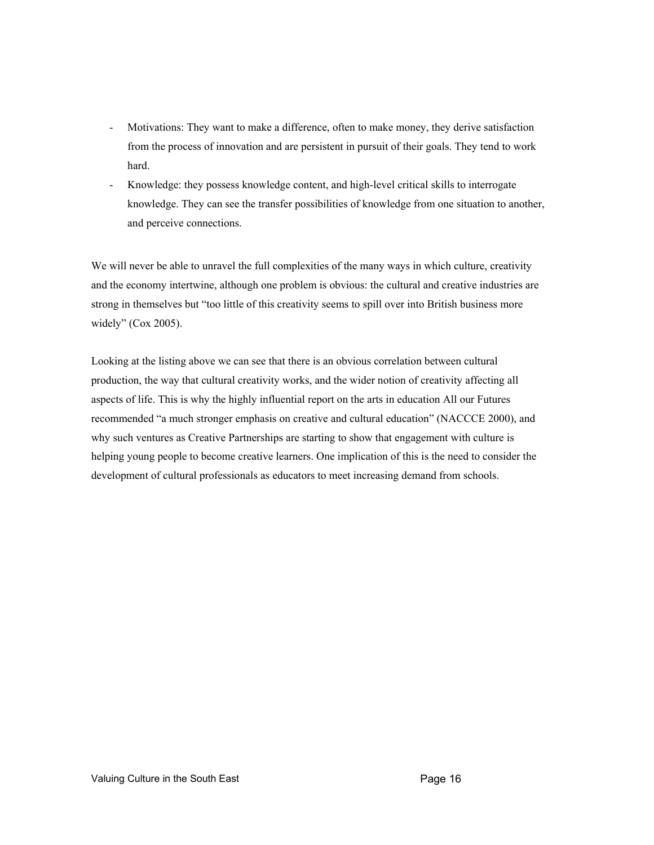- Motivations: They want to make a difference, often to make money, they derive satisfaction from the process of innovation and are persistent in pursuit of their goals. They tend to work hard.
- Knowledge: they possess knowledge content, and high-level critical skills to interrogate knowledge. They can see the transfer possibilities of knowledge from one situation to another, and perceive connections.

We will never be able to unravel the full complexities of the many ways in which culture, creativity and the economy intertwine, although one problem is obvious: the cultural and creative industries are strong in themselves but "too little of this creativity seems to spill over into British business more widely" (Cox 2005).

Looking at the listing above we can see that there is an obvious correlation between cultural production, the way that cultural creativity works, and the wider notion of creativity affecting all aspects of life. This is why the highly influential report on the arts in education All our Futures recommended "a much stronger emphasis on creative and cultural education" (NACCCE 2000), and why such ventures as Creative Partnerships are starting to show that engagement with culture is helping young people to become creative learners. One implication of this is the need to consider the development of cultural professionals as educators to meet increasing demand from schools.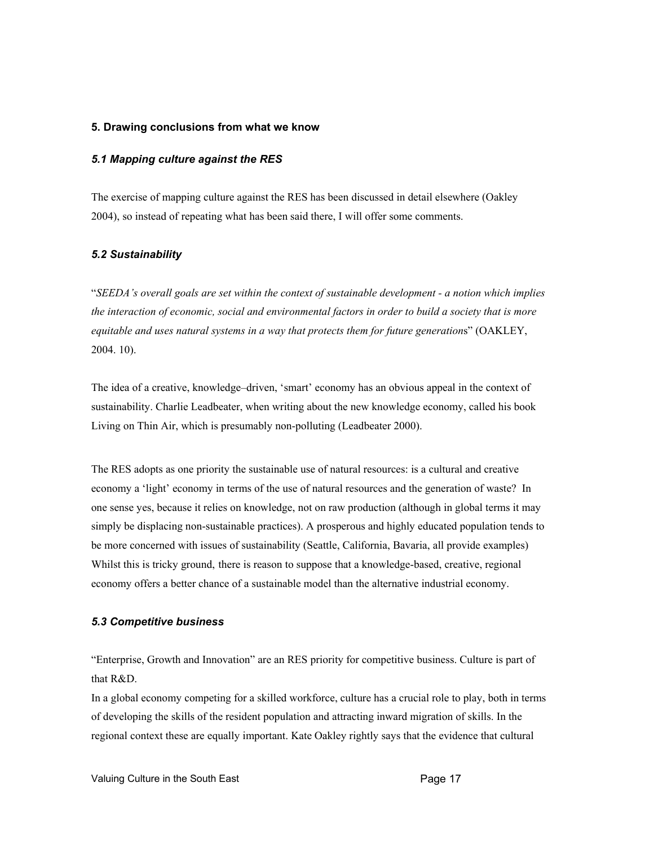#### **5. Drawing conclusions from what we know**

## *5.1 Mapping culture against the RES*

The exercise of mapping culture against the RES has been discussed in detail elsewhere (Oakley 2004), so instead of repeating what has been said there, I will offer some comments.

## *5.2 Sustainability*

"*SEEDA's overall goals are set within the context of sustainable development - a notion which implies the interaction of economic, social and environmental factors in order to build a society that is more equitable and uses natural systems in a way that protects them for future generation*s" (OAKLEY, 2004. 10).

The idea of a creative, knowledge–driven, 'smart' economy has an obvious appeal in the context of sustainability. Charlie Leadbeater, when writing about the new knowledge economy, called his book Living on Thin Air, which is presumably non-polluting (Leadbeater 2000).

The RES adopts as one priority the sustainable use of natural resources: is a cultural and creative economy a 'light' economy in terms of the use of natural resources and the generation of waste? In one sense yes, because it relies on knowledge, not on raw production (although in global terms it may simply be displacing non-sustainable practices). A prosperous and highly educated population tends to be more concerned with issues of sustainability (Seattle, California, Bavaria, all provide examples) Whilst this is tricky ground, there is reason to suppose that a knowledge-based, creative, regional economy offers a better chance of a sustainable model than the alternative industrial economy.

## *5.3 Competitive business*

"Enterprise, Growth and Innovation" are an RES priority for competitive business. Culture is part of that R&D.

In a global economy competing for a skilled workforce, culture has a crucial role to play, both in terms of developing the skills of the resident population and attracting inward migration of skills. In the regional context these are equally important. Kate Oakley rightly says that the evidence that cultural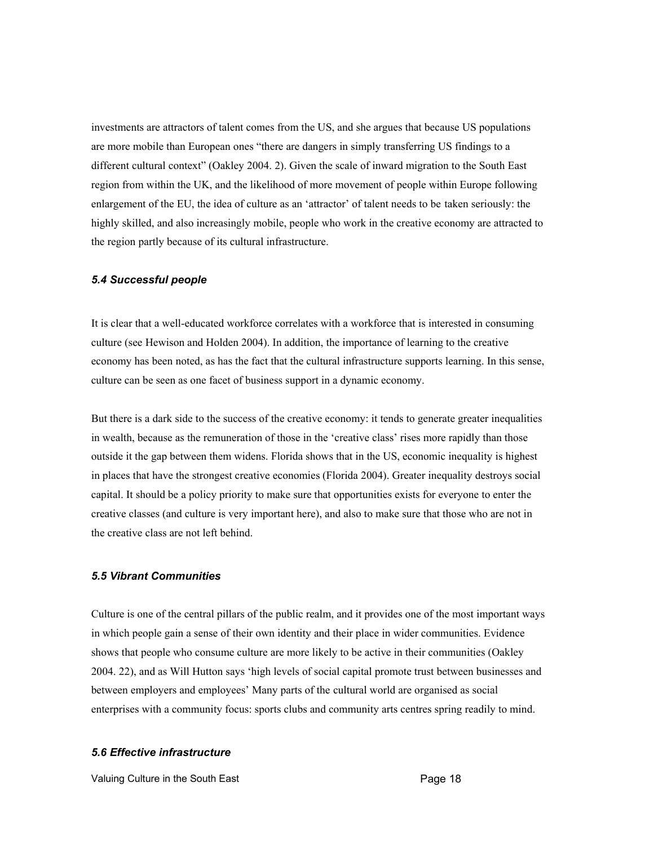investments are attractors of talent comes from the US, and she argues that because US populations are more mobile than European ones "there are dangers in simply transferring US findings to a different cultural context" (Oakley 2004. 2). Given the scale of inward migration to the South East region from within the UK, and the likelihood of more movement of people within Europe following enlargement of the EU, the idea of culture as an 'attractor' of talent needs to be taken seriously: the highly skilled, and also increasingly mobile, people who work in the creative economy are attracted to the region partly because of its cultural infrastructure.

#### *5.4 Successful people*

It is clear that a well-educated workforce correlates with a workforce that is interested in consuming culture (see Hewison and Holden 2004). In addition, the importance of learning to the creative economy has been noted, as has the fact that the cultural infrastructure supports learning. In this sense, culture can be seen as one facet of business support in a dynamic economy.

But there is a dark side to the success of the creative economy: it tends to generate greater inequalities in wealth, because as the remuneration of those in the 'creative class' rises more rapidly than those outside it the gap between them widens. Florida shows that in the US, economic inequality is highest in places that have the strongest creative economies (Florida 2004). Greater inequality destroys social capital. It should be a policy priority to make sure that opportunities exists for everyone to enter the creative classes (and culture is very important here), and also to make sure that those who are not in the creative class are not left behind.

## *5.5 Vibrant Communities*

Culture is one of the central pillars of the public realm, and it provides one of the most important ways in which people gain a sense of their own identity and their place in wider communities. Evidence shows that people who consume culture are more likely to be active in their communities (Oakley 2004. 22), and as Will Hutton says 'high levels of social capital promote trust between businesses and between employers and employees' Many parts of the cultural world are organised as social enterprises with a community focus: sports clubs and community arts centres spring readily to mind.

#### *5.6 Effective infrastructure*

Valuing Culture in the South East **Page 18**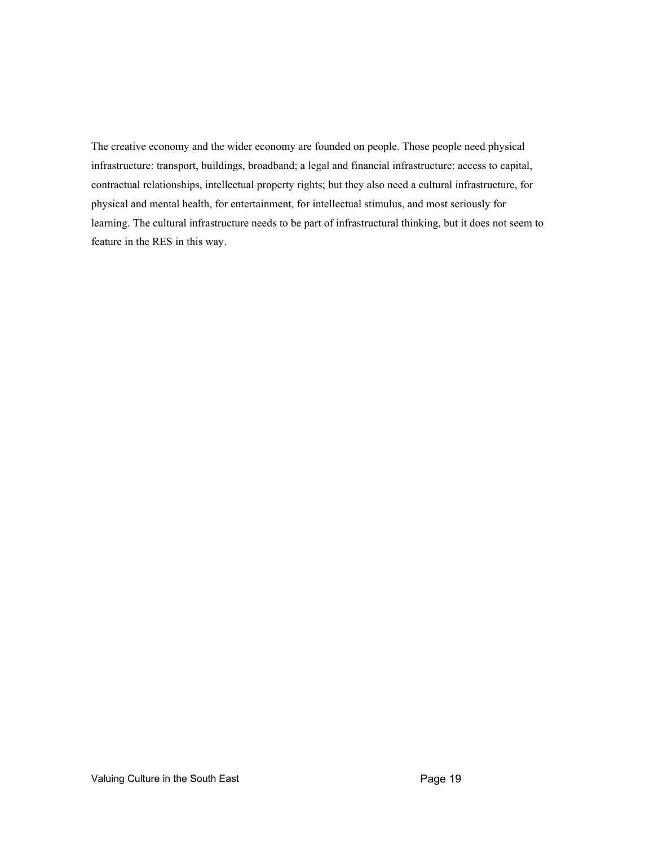The creative economy and the wider economy are founded on people. Those people need physical infrastructure: transport, buildings, broadband; a legal and financial infrastructure: access to capital, contractual relationships, intellectual property rights; but they also need a cultural infrastructure, for physical and mental health, for entertainment, for intellectual stimulus, and most seriously for learning. The cultural infrastructure needs to be part of infrastructural thinking, but it does not seem to feature in the RES in this way.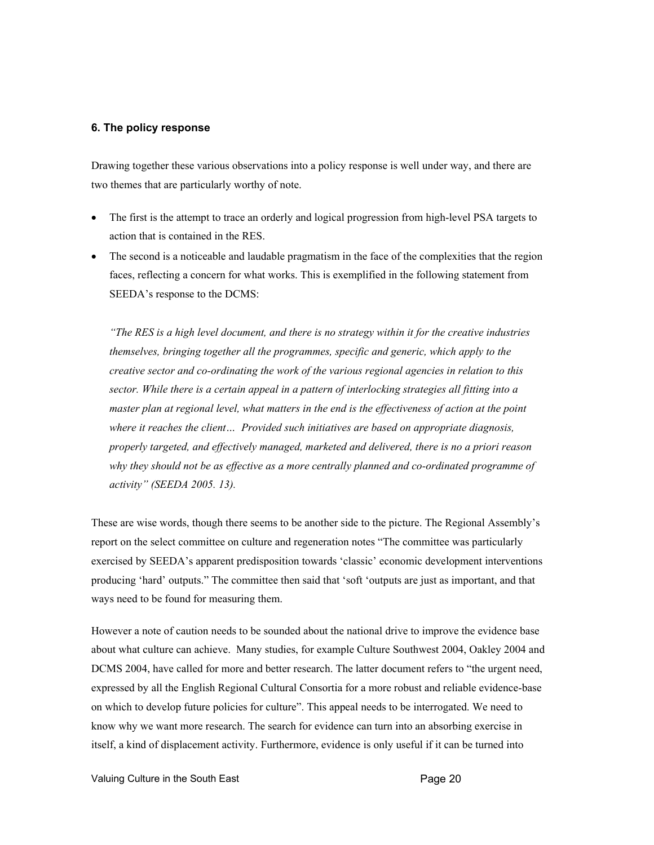#### **6. The policy response**

Drawing together these various observations into a policy response is well under way, and there are two themes that are particularly worthy of note.

- The first is the attempt to trace an orderly and logical progression from high-level PSA targets to action that is contained in the RES.
- The second is a noticeable and laudable pragmatism in the face of the complexities that the region faces, reflecting a concern for what works. This is exemplified in the following statement from SEEDA's response to the DCMS:

*"The RES is a high level document, and there is no strategy within it for the creative industries themselves, bringing together all the programmes, specific and generic, which apply to the creative sector and co-ordinating the work of the various regional agencies in relation to this sector. While there is a certain appeal in a pattern of interlocking strategies all fitting into a master plan at regional level, what matters in the end is the effectiveness of action at the point where it reaches the client… Provided such initiatives are based on appropriate diagnosis, properly targeted, and effectively managed, marketed and delivered, there is no a priori reason why they should not be as effective as a more centrally planned and co-ordinated programme of activity" (SEEDA 2005. 13).* 

These are wise words, though there seems to be another side to the picture. The Regional Assembly's report on the select committee on culture and regeneration notes "The committee was particularly exercised by SEEDA's apparent predisposition towards 'classic' economic development interventions producing 'hard' outputs." The committee then said that 'soft 'outputs are just as important, and that ways need to be found for measuring them.

However a note of caution needs to be sounded about the national drive to improve the evidence base about what culture can achieve. Many studies, for example Culture Southwest 2004, Oakley 2004 and DCMS 2004, have called for more and better research. The latter document refers to "the urgent need, expressed by all the English Regional Cultural Consortia for a more robust and reliable evidence-base on which to develop future policies for culture". This appeal needs to be interrogated. We need to know why we want more research. The search for evidence can turn into an absorbing exercise in itself, a kind of displacement activity. Furthermore, evidence is only useful if it can be turned into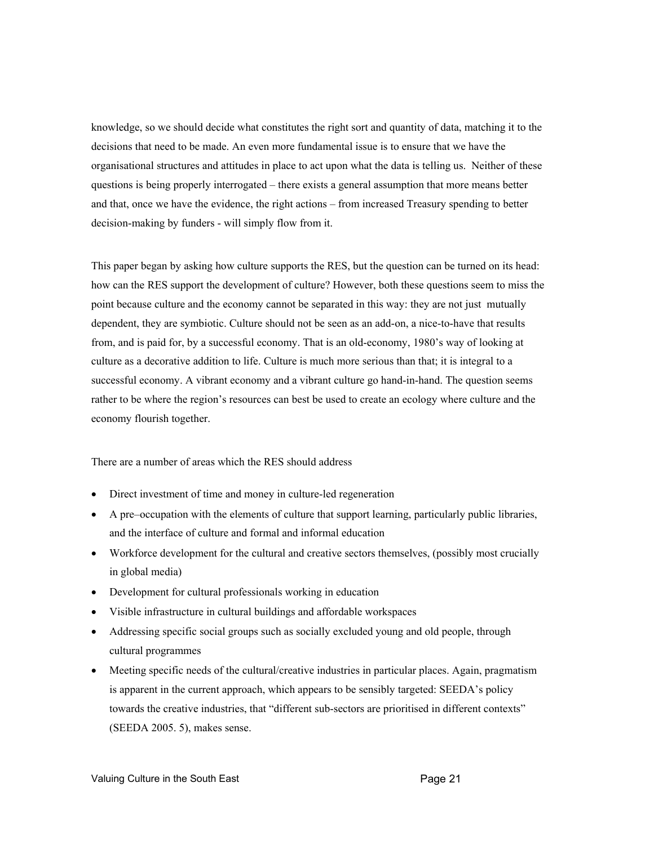knowledge, so we should decide what constitutes the right sort and quantity of data, matching it to the decisions that need to be made. An even more fundamental issue is to ensure that we have the organisational structures and attitudes in place to act upon what the data is telling us. Neither of these questions is being properly interrogated – there exists a general assumption that more means better and that, once we have the evidence, the right actions – from increased Treasury spending to better decision-making by funders - will simply flow from it.

This paper began by asking how culture supports the RES, but the question can be turned on its head: how can the RES support the development of culture? However, both these questions seem to miss the point because culture and the economy cannot be separated in this way: they are not just mutually dependent, they are symbiotic. Culture should not be seen as an add-on, a nice-to-have that results from, and is paid for, by a successful economy. That is an old-economy, 1980's way of looking at culture as a decorative addition to life. Culture is much more serious than that; it is integral to a successful economy. A vibrant economy and a vibrant culture go hand-in-hand. The question seems rather to be where the region's resources can best be used to create an ecology where culture and the economy flourish together.

There are a number of areas which the RES should address

- Direct investment of time and money in culture-led regeneration
- A pre–occupation with the elements of culture that support learning, particularly public libraries, and the interface of culture and formal and informal education
- Workforce development for the cultural and creative sectors themselves, (possibly most crucially in global media)
- Development for cultural professionals working in education
- Visible infrastructure in cultural buildings and affordable workspaces
- Addressing specific social groups such as socially excluded young and old people, through cultural programmes
- Meeting specific needs of the cultural/creative industries in particular places. Again, pragmatism is apparent in the current approach, which appears to be sensibly targeted: SEEDA's policy towards the creative industries, that "different sub-sectors are prioritised in different contexts" (SEEDA 2005. 5), makes sense.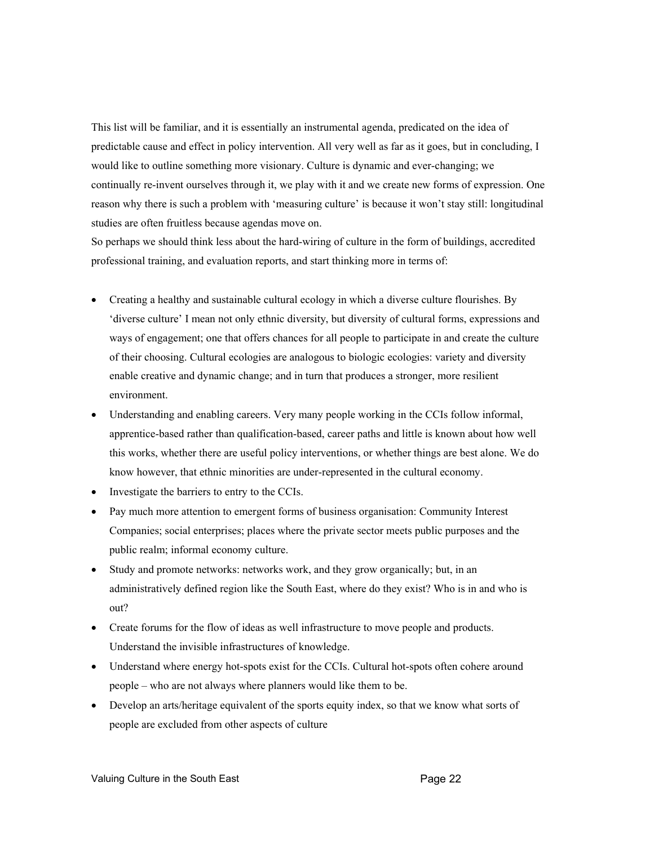This list will be familiar, and it is essentially an instrumental agenda, predicated on the idea of predictable cause and effect in policy intervention. All very well as far as it goes, but in concluding, I would like to outline something more visionary. Culture is dynamic and ever-changing; we continually re-invent ourselves through it, we play with it and we create new forms of expression. One reason why there is such a problem with 'measuring culture' is because it won't stay still: longitudinal studies are often fruitless because agendas move on.

So perhaps we should think less about the hard-wiring of culture in the form of buildings, accredited professional training, and evaluation reports, and start thinking more in terms of:

- Creating a healthy and sustainable cultural ecology in which a diverse culture flourishes. By 'diverse culture' I mean not only ethnic diversity, but diversity of cultural forms, expressions and ways of engagement; one that offers chances for all people to participate in and create the culture of their choosing. Cultural ecologies are analogous to biologic ecologies: variety and diversity enable creative and dynamic change; and in turn that produces a stronger, more resilient environment.
- Understanding and enabling careers. Very many people working in the CCIs follow informal, apprentice-based rather than qualification-based, career paths and little is known about how well this works, whether there are useful policy interventions, or whether things are best alone. We do know however, that ethnic minorities are under-represented in the cultural economy.
- Investigate the barriers to entry to the CCIs.
- Pay much more attention to emergent forms of business organisation: Community Interest Companies; social enterprises; places where the private sector meets public purposes and the public realm; informal economy culture.
- Study and promote networks: networks work, and they grow organically; but, in an administratively defined region like the South East, where do they exist? Who is in and who is out?
- Create forums for the flow of ideas as well infrastructure to move people and products. Understand the invisible infrastructures of knowledge.
- Understand where energy hot-spots exist for the CCIs. Cultural hot-spots often cohere around people – who are not always where planners would like them to be.
- Develop an arts/heritage equivalent of the sports equity index, so that we know what sorts of people are excluded from other aspects of culture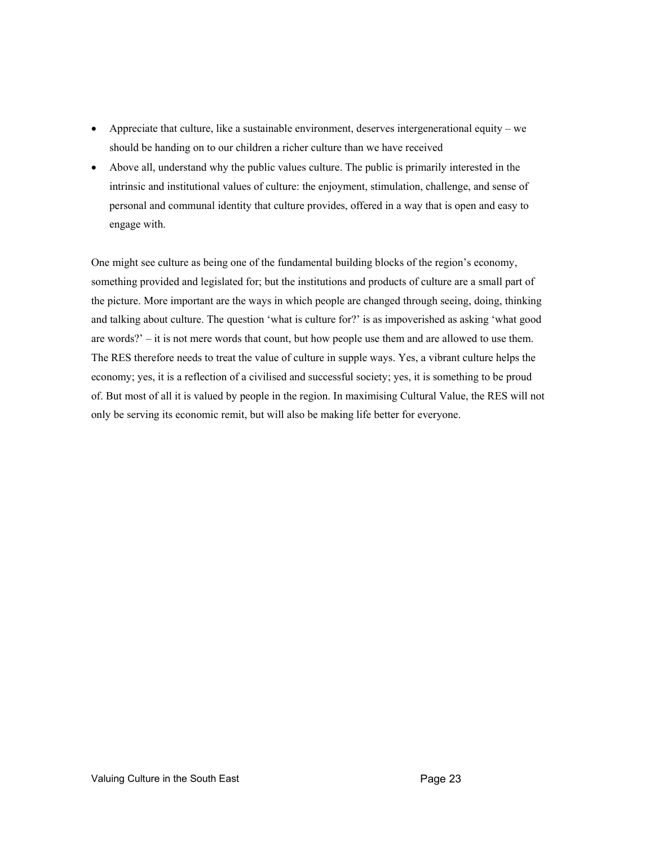- Appreciate that culture, like a sustainable environment, deserves intergenerational equity we should be handing on to our children a richer culture than we have received
- Above all, understand why the public values culture. The public is primarily interested in the intrinsic and institutional values of culture: the enjoyment, stimulation, challenge, and sense of personal and communal identity that culture provides, offered in a way that is open and easy to engage with.

One might see culture as being one of the fundamental building blocks of the region's economy, something provided and legislated for; but the institutions and products of culture are a small part of the picture. More important are the ways in which people are changed through seeing, doing, thinking and talking about culture. The question 'what is culture for?' is as impoverished as asking 'what good are words?' – it is not mere words that count, but how people use them and are allowed to use them. The RES therefore needs to treat the value of culture in supple ways. Yes, a vibrant culture helps the economy; yes, it is a reflection of a civilised and successful society; yes, it is something to be proud of. But most of all it is valued by people in the region. In maximising Cultural Value, the RES will not only be serving its economic remit, but will also be making life better for everyone.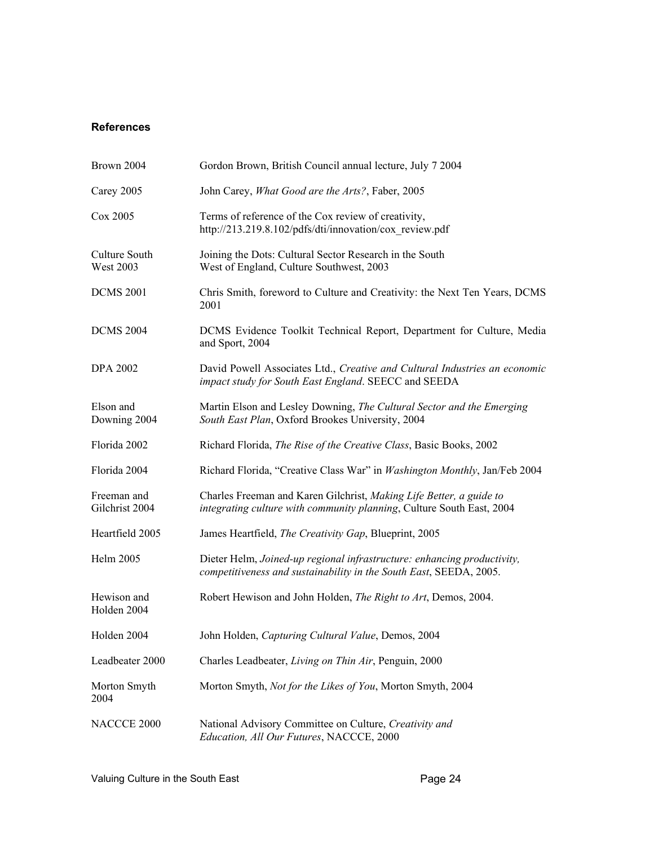## **References**

| Brown 2004                        | Gordon Brown, British Council annual lecture, July 7 2004                                                                                     |
|-----------------------------------|-----------------------------------------------------------------------------------------------------------------------------------------------|
| Carey 2005                        | John Carey, What Good are the Arts?, Faber, 2005                                                                                              |
| Cox 2005                          | Terms of reference of the Cox review of creativity,<br>http://213.219.8.102/pdfs/dti/innovation/cox review.pdf                                |
| Culture South<br><b>West 2003</b> | Joining the Dots: Cultural Sector Research in the South<br>West of England, Culture Southwest, 2003                                           |
| <b>DCMS 2001</b>                  | Chris Smith, foreword to Culture and Creativity: the Next Ten Years, DCMS<br>2001                                                             |
| <b>DCMS 2004</b>                  | DCMS Evidence Toolkit Technical Report, Department for Culture, Media<br>and Sport, 2004                                                      |
| <b>DPA 2002</b>                   | David Powell Associates Ltd., Creative and Cultural Industries an economic<br>impact study for South East England. SEECC and SEEDA            |
| Elson and<br>Downing 2004         | Martin Elson and Lesley Downing, The Cultural Sector and the Emerging<br>South East Plan, Oxford Brookes University, 2004                     |
| Florida 2002                      | Richard Florida, The Rise of the Creative Class, Basic Books, 2002                                                                            |
| Florida 2004                      | Richard Florida, "Creative Class War" in Washington Monthly, Jan/Feb 2004                                                                     |
| Freeman and<br>Gilchrist 2004     | Charles Freeman and Karen Gilchrist, Making Life Better, a guide to<br>integrating culture with community planning, Culture South East, 2004  |
| Heartfield 2005                   | James Heartfield, The Creativity Gap, Blueprint, 2005                                                                                         |
| Helm 2005                         | Dieter Helm, Joined-up regional infrastructure: enhancing productivity,<br>competitiveness and sustainability in the South East, SEEDA, 2005. |
| Hewison and<br>Holden 2004        | Robert Hewison and John Holden, <i>The Right to Art</i> , Demos, 2004.                                                                        |
| Holden 2004                       | John Holden, Capturing Cultural Value, Demos, 2004                                                                                            |
| Leadbeater 2000                   | Charles Leadbeater, Living on Thin Air, Penguin, 2000                                                                                         |
| Morton Smyth<br>2004              | Morton Smyth, Not for the Likes of You, Morton Smyth, 2004                                                                                    |
| NACCCE 2000                       | National Advisory Committee on Culture, Creativity and<br>Education, All Our Futures, NACCCE, 2000                                            |